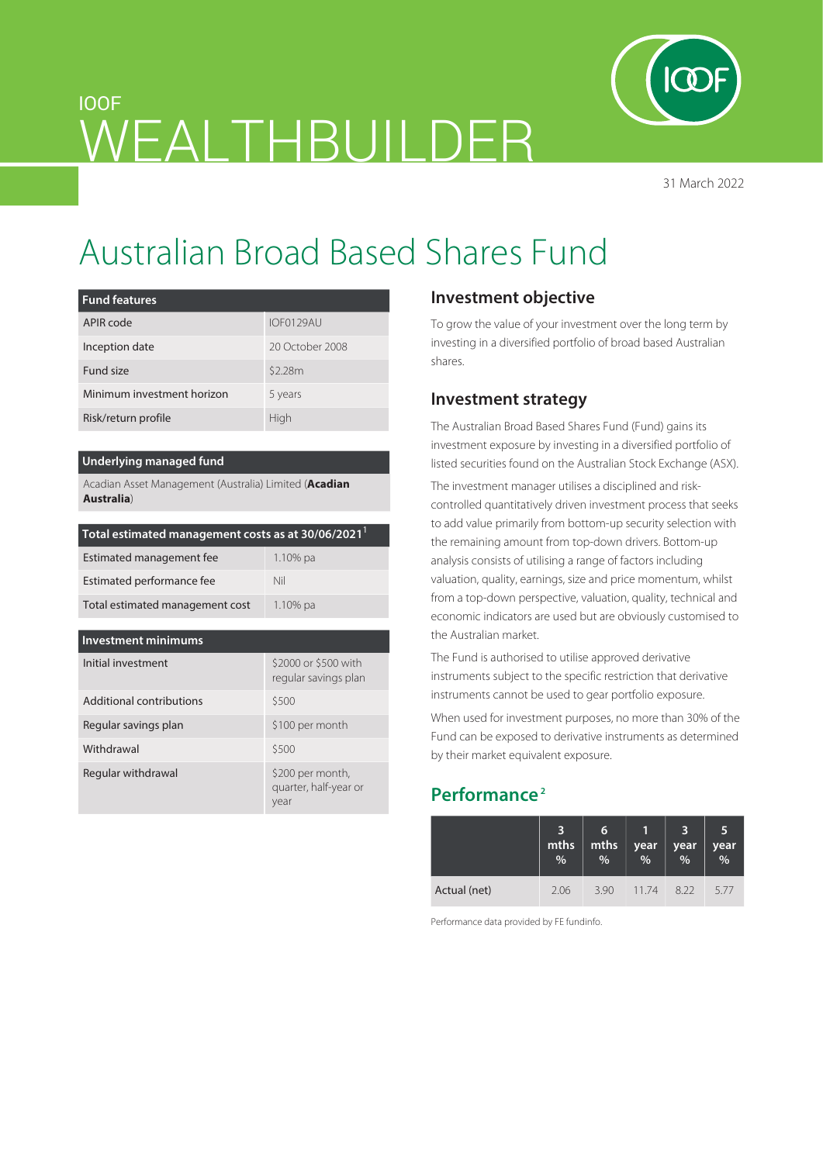

31 March 2022

# IOOF WEALTHBUILDER

# Australian Broad Based Shares Fund

| <b>Fund features</b>       |                 |
|----------------------------|-----------------|
| APIR code                  | IOF0129AU       |
| Inception date             | 20 October 2008 |
| Fund size                  | \$2.28m         |
| Minimum investment horizon | 5 years         |
| Risk/return profile        | High            |

### **Underlying managed fund**

Acadian Asset Management (Australia) Limited (**Acadian Australia**)

| Total estimated management costs as at 30/06/2021 <sup>1</sup> |                                                   |  |  |  |  |
|----------------------------------------------------------------|---------------------------------------------------|--|--|--|--|
| Estimated management fee                                       | 1.10% pa                                          |  |  |  |  |
| Estimated performance fee                                      | Nil                                               |  |  |  |  |
| Total estimated management cost                                | 1.10% pa                                          |  |  |  |  |
|                                                                |                                                   |  |  |  |  |
| <b>Investment minimums</b>                                     |                                                   |  |  |  |  |
| Initial investment                                             | \$2000 or \$500 with<br>regular savings plan      |  |  |  |  |
| Additional contributions                                       | \$500                                             |  |  |  |  |
| Regular savings plan                                           | \$100 per month                                   |  |  |  |  |
| Withdrawal                                                     | \$500                                             |  |  |  |  |
| Regular withdrawal                                             | \$200 per month,<br>quarter, half-year or<br>year |  |  |  |  |

# **Investment objective**

To grow the value of your investment over the long term by investing in a diversified portfolio of broad based Australian shares.

## **Investment strategy**

The Australian Broad Based Shares Fund (Fund) gains its investment exposure by investing in a diversified portfolio of listed securities found on the Australian Stock Exchange (ASX). The investment manager utilises a disciplined and riskcontrolled quantitatively driven investment process that seeks to add value primarily from bottom-up security selection with the remaining amount from top-down drivers. Bottom-up analysis consists of utilising a range of factors including valuation, quality, earnings, size and price momentum, whilst from a top-down perspective, valuation, quality, technical and economic indicators are used but are obviously customised to the Australian market.

The Fund is authorised to utilise approved derivative instruments subject to the specific restriction that derivative instruments cannot be used to gear portfolio exposure.

When used for investment purposes, no more than 30% of the Fund can be exposed to derivative instruments as determined by their market equivalent exposure.

# **Performance 2**

|              | 3<br>mths<br>$\%$ | 6<br>mths<br>% | year<br>$\frac{1}{2}$ | year<br>$\frac{9}{6}$ | 5<br>year<br>% |
|--------------|-------------------|----------------|-----------------------|-----------------------|----------------|
| Actual (net) | 2.06              | 3.90           | 11.74                 | 8.22                  | 5.77           |

Performance data provided by FE fundinfo.